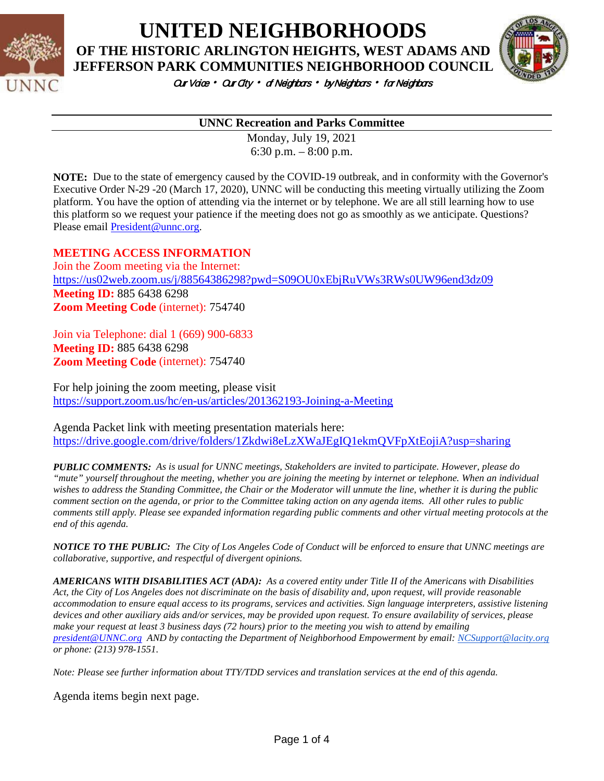

**UNITED NEIGHBORHOODS**

**OF THE HISTORIC ARLINGTON HEIGHTS, WEST ADAMS AND** 



Our Voice • Our City • of Neighbors • by Neighbors • for Neighbors

#### **UNNC Recreation and Parks Committee**

Monday, July 19, 2021 6:30 p.m. – 8:00 p.m.

**NOTE:** Due to the state of emergency caused by the COVID-19 outbreak, and in conformity with the Governor's Executive Order N-29 -20 (March 17, 2020), UNNC will be conducting this meeting virtually utilizing the Zoom platform. You have the option of attending via the internet or by telephone. We are all still learning how to use this platform so we request your patience if the meeting does not go as smoothly as we anticipate. Questions? Please email [President@unnc.org.](mailto:President@unnc.org)

#### **MEETING ACCESS INFORMATION**

Join the Zoom meeting via the Internet: <https://us02web.zoom.us/j/88564386298?pwd=S09OU0xEbjRuVWs3RWs0UW96end3dz09> **Meeting ID:** 885 6438 6298 **Zoom Meeting Code** (internet): 754740

Join via Telephone: dial 1 (669) 900-6833 **Meeting ID:** 885 6438 6298 **Zoom Meeting Code** (internet): 754740

For help joining the zoom meeting, please visit <https://support.zoom.us/hc/en-us/articles/201362193-Joining-a-Meeting>

Agenda Packet link with meeting presentation materials here: <https://drive.google.com/drive/folders/1Zkdwi8eLzXWaJEgIQ1ekmQVFpXtEojiA?usp=sharing>

*PUBLIC COMMENTS: As is usual for UNNC meetings, Stakeholders are invited to participate. However, please do "mute" yourself throughout the meeting, whether you are joining the meeting by internet or telephone. When an individual wishes to address the Standing Committee, the Chair or the Moderator will unmute the line, whether it is during the public comment section on the agenda, or prior to the Committee taking action on any agenda items. All other rules to public comments still apply. Please see expanded information regarding public comments and other virtual meeting protocols at the end of this agenda.*

*NOTICE TO THE PUBLIC: The City of Los Angeles Code of Conduct will be enforced to ensure that UNNC meetings are collaborative, supportive, and respectful of divergent opinions.* 

*AMERICANS WITH DISABILITIES ACT (ADA): As a covered entity under Title II of the Americans with Disabilities Act, the City of Los Angeles does not discriminate on the basis of disability and, upon request, will provide reasonable accommodation to ensure equal access to its programs, services and activities. Sign language interpreters, assistive listening devices and other auxiliary aids and/or services, may be provided upon request. To ensure availability of services, please make your request at least 3 business days (72 hours) prior to the meeting you wish to attend by emailing [president@UNNC.org](mailto:president@UNNC.org) AND by contacting the Department of Neighborhood Empowerment by email: [NCSupport@lacity.org](mailto:NCSupport@lacity.org) or phone: (213) 978-1551.*

*Note: Please see further information about TTY/TDD services and translation services at the end of this agenda.*

Agenda items begin next page.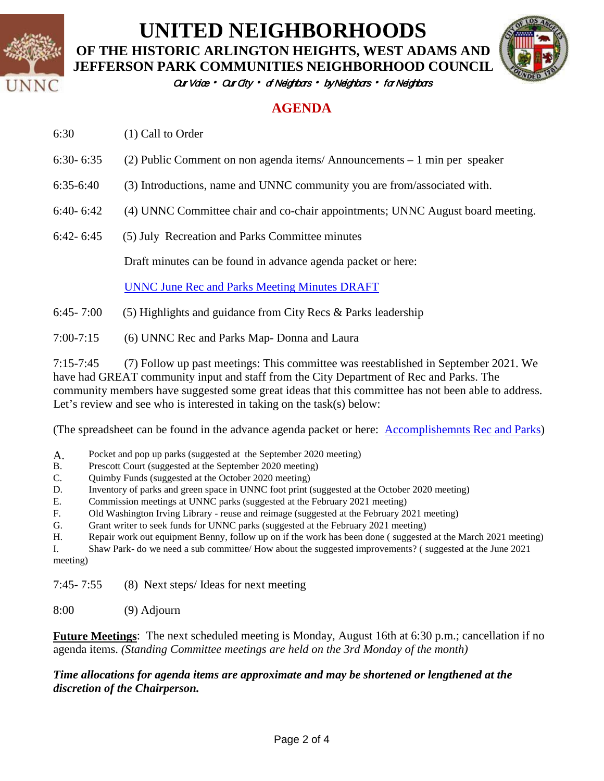

# **UNITED NEIGHBORHOODS**

**OF THE HISTORIC ARLINGTON HEIGHTS, WEST ADAMS AND JEFFERSON PARK COMMUNITIES NEIGHBORHOOD COUNCIL**



Our Vaice • Our City • of Neighbors • by Neighbors • for Neighbors

### **AGENDA**

| 6:30 | (1) Call to Order |
|------|-------------------|
|      |                   |

- 6:30- 6:35 (2) Public Comment on non agenda items/ Announcements 1 min per speaker
- 6:35-6:40 (3) Introductions, name and UNNC community you are from/associated with.
- 6:40- 6:42 (4) UNNC Committee chair and co-chair appointments; UNNC August board meeting.
- 6:42- 6:45 (5) July Recreation and Parks Committee minutes

Draft minutes can be found in advance agenda packet or here:

[UNNC June Rec and Parks Meeting Minutes DRAFT](https://docs.google.com/document/d/1eFDoFea0eblXbsLg9eoXinSxbO8zVxsyohWKtojmBvE/edit)

- 6:45- 7:00 (5) Highlights and guidance from City Recs & Parks leadership
- 7:00-7:15 (6) UNNC Rec and Parks Map- Donna and Laura

7:15-7:45 (7) Follow up past meetings: This committee was reestablished in September 2021. We have had GREAT community input and staff from the City Department of Rec and Parks. The community members have suggested some great ideas that this committee has not been able to address. Let's review and see who is interested in taking on the task(s) below:

(The spreadsheet can be found in the advance agenda packet or here: Accomplishemnts Rec and Parks)

- A. Pocket and pop up parks (suggested at the September 2020 meeting)<br>B. Prescott Court (suggested at the September 2020 meeting)
- Prescott Court (suggested at the September 2020 meeting)
- C. Quimby Funds (suggested at the October 2020 meeting)
- D. Inventory of parks and green space in UNNC foot print (suggested at the October 2020 meeting)
- E. Commission meetings at UNNC parks (suggested at the February 2021 meeting)
- F. Old Washington Irving Library reuse and reimage (suggested at the February 2021 meeting)
- G. Grant writer to seek funds for UNNC parks (suggested at the February 2021 meeting)
- H. Repair work out equipment Benny, follow up on if the work has been done ( suggested at the March 2021 meeting)

I. Shaw Park- do we need a sub committee/ How about the suggested improvements? ( suggested at the June 2021 meeting)

7:45- 7:55 (8) Next steps/ Ideas for next meeting

8:00 (9) Adjourn

**Future Meetings**: The next scheduled meeting is Monday, August 16th at 6:30 p.m.; cancellation if no agenda items. *(Standing Committee meetings are held on the 3rd Monday of the month)*

#### *Time allocations for agenda items are approximate and may be shortened or lengthened at the discretion of the Chairperson.*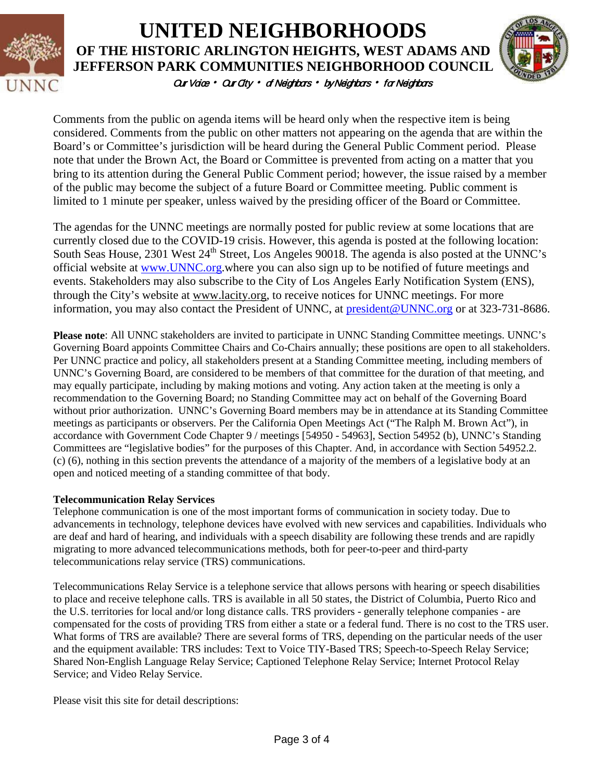

## Our Vaice • Our City • of Neighbors • by Neighbors • for Neighbors **UNITED NEIGHBORHOODS OF THE HISTORIC ARLINGTON HEIGHTS, WEST ADAMS AND JEFFERSON PARK COMMUNITIES NEIGHBORHOOD COUNCIL**



Comments from the public on agenda items will be heard only when the respective item is being considered. Comments from the public on other matters not appearing on the agenda that are within the Board's or Committee's jurisdiction will be heard during the General Public Comment period. Please note that under the Brown Act, the Board or Committee is prevented from acting on a matter that you bring to its attention during the General Public Comment period; however, the issue raised by a member of the public may become the subject of a future Board or Committee meeting. Public comment is limited to 1 minute per speaker, unless waived by the presiding officer of the Board or Committee.

The agendas for the UNNC meetings are normally posted for public review at some locations that are currently closed due to the COVID-19 crisis. However, this agenda is posted at the following location: South Seas House, 2301 West 24<sup>th</sup> Street, Los Angeles 90018. The agenda is also posted at the UNNC's official website at [www.UNNC.org.](http://www.unnc.org/)where you can also sign up to be notified of future meetings and events. Stakeholders may also subscribe to the City of Los Angeles Early Notification System (ENS), through the City's website at www.lacity.org, to receive notices for UNNC meetings. For more information, you may also contact the President of UNNC, at [president@UNNC.org](mailto:president@UNNC.org) or at 323-731-8686.

**Please note**: All UNNC stakeholders are invited to participate in UNNC Standing Committee meetings. UNNC's Governing Board appoints Committee Chairs and Co-Chairs annually; these positions are open to all stakeholders. Per UNNC practice and policy, all stakeholders present at a Standing Committee meeting, including members of UNNC's Governing Board, are considered to be members of that committee for the duration of that meeting, and may equally participate, including by making motions and voting. Any action taken at the meeting is only a recommendation to the Governing Board; no Standing Committee may act on behalf of the Governing Board without prior authorization. UNNC's Governing Board members may be in attendance at its Standing Committee meetings as participants or observers. Per the California Open Meetings Act ("The Ralph M. Brown Act"), in accordance with Government Code Chapter 9 / meetings [54950 - 54963], Section 54952 (b), UNNC's Standing Committees are "legislative bodies" for the purposes of this Chapter. And, in accordance with Section 54952.2. (c) (6), nothing in this section prevents the attendance of a majority of the members of a legislative body at an open and noticed meeting of a standing committee of that body.

#### **Telecommunication Relay Services**

Telephone communication is one of the most important forms of communication in society today. Due to advancements in technology, telephone devices have evolved with new services and capabilities. Individuals who are deaf and hard of hearing, and individuals with a speech disability are following these trends and are rapidly migrating to more advanced telecommunications methods, both for peer-to-peer and third-party telecommunications relay service (TRS) communications.

Telecommunications Relay Service is a telephone service that allows persons with hearing or speech disabilities to place and receive telephone calls. TRS is available in all 50 states, the District of Columbia, Puerto Rico and the U.S. territories for local and/or long distance calls. TRS providers - generally telephone companies - are compensated for the costs of providing TRS from either a state or a federal fund. There is no cost to the TRS user. What forms of TRS are available? There are several forms of TRS, depending on the particular needs of the user and the equipment available: TRS includes: Text to Voice TIY-Based TRS; Speech-to-Speech Relay Service; Shared Non-English Language Relay Service; Captioned Telephone Relay Service; Internet Protocol Relay Service; and Video Relay Service.

Please visit this site for detail descriptions: